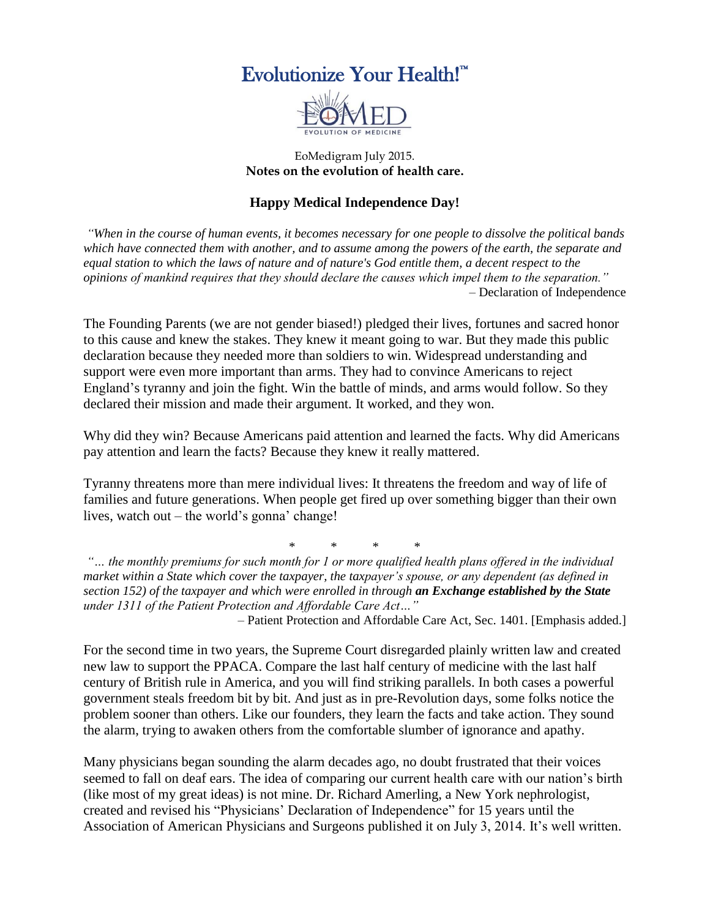



## EoMedigram July 2015. **Notes on the evolution of health care.**

## **Happy Medical Independence Day!**

*"When in the course of human events, it becomes necessary for one people to dissolve the political bands which have connected them with another, and to assume among the powers of the earth, the separate and equal station to which the laws of nature and of nature's God entitle them, a decent respect to the opinions of mankind requires that they should declare the causes which impel them to the separation."* – Declaration of Independence

The Founding Parents (we are not gender biased!) pledged their lives, fortunes and sacred honor to this cause and knew the stakes. They knew it meant going to war. But they made this public declaration because they needed more than soldiers to win. Widespread understanding and support were even more important than arms. They had to convince Americans to reject England's tyranny and join the fight. Win the battle of minds, and arms would follow. So they declared their mission and made their argument. It worked, and they won.

Why did they win? Because Americans paid attention and learned the facts. Why did Americans pay attention and learn the facts? Because they knew it really mattered.

Tyranny threatens more than mere individual lives: It threatens the freedom and way of life of families and future generations. When people get fired up over something bigger than their own lives, watch out – the world's gonna' change!

\* \* \* \*

*"… the monthly premiums for such month for 1 or more qualified health plans offered in the individual market within a State which cover the taxpayer, the taxpayer's spouse, or any dependent (as defined in section 152) of the taxpayer and which were enrolled in through an Exchange established by the State under 1311 of the Patient Protection and Affordable Care Act…"*

– Patient Protection and Affordable Care Act, Sec. 1401. [Emphasis added.]

For the second time in two years, the Supreme Court disregarded plainly written law and created new law to support the PPACA. Compare the last half century of medicine with the last half century of British rule in America, and you will find striking parallels. In both cases a powerful government steals freedom bit by bit. And just as in pre-Revolution days, some folks notice the problem sooner than others. Like our founders, they learn the facts and take action. They sound the alarm, trying to awaken others from the comfortable slumber of ignorance and apathy.

Many physicians began sounding the alarm decades ago, no doubt frustrated that their voices seemed to fall on deaf ears. The idea of comparing our current health care with our nation's birth (like most of my great ideas) is not mine. Dr. Richard Amerling, a New York nephrologist, created and revised his "Physicians' Declaration of Independence" for 15 years until the Association of American Physicians and Surgeons published it on July 3, 2014. It's well written.